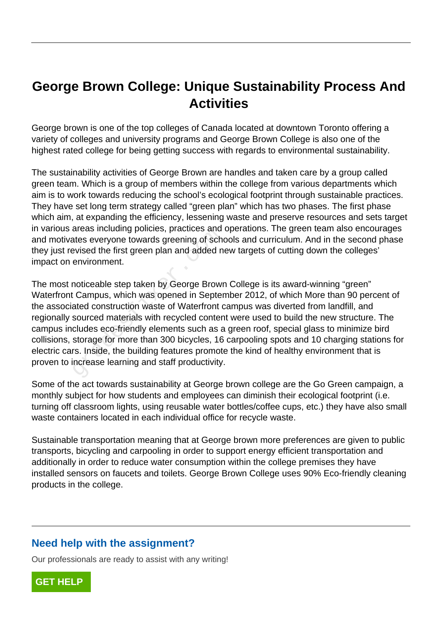## **George Brown College: Unique Sustainability Process And Activities**

George brown is one of the top colleges of Canada located at downtown Toronto offering a variety of colleges and university programs and George Brown College is also one of the highest rated college for being getting success with regards to environmental sustainability.

The sustainability activities of George Brown are handles and taken care by a group called green team. Which is a group of members within the college from various departments which aim is to work towards reducing the school's ecological footprint through sustainable practices. They have set long term strategy called "green plan" which has two phases. The first phase which aim, at expanding the efficiency, lessening waste and preserve resources and sets target in various areas including policies, practices and operations. The green team also encourages and motivates everyone towards greening of schools and curriculum. And in the second phase they just revised the first green plan and added new targets of cutting down the colleges' impact on environment.

The most noticeable step taken by George Brown College is its award-winning "green" Waterfront Campus, which was opened in September 2012, of which More than 90 percent of the associated construction waste of Waterfront campus was diverted from landfill, and regionally sourced materials with recycled content were used to build the new structure. The campus includes eco-friendly elements such as a green roof, special glass to minimize bird collisions, storage for more than 300 bicycles, 16 carpooling spots and 10 charging stations for electric cars. Inside, the building features promote the kind of healthy environment that is proven to increase learning and staff productivity. areas including policies, practices and<br>ates everyone towards greening of schewised the first green plan and added n<br>environment.<br>noticeable step taken by George Brown<br>Campus, which was opened in Septer<br>ated construction w

Some of the act towards sustainability at George brown college are the Go Green campaign, a monthly subject for how students and employees can diminish their ecological footprint (i.e. turning off classroom lights, using reusable water bottles/coffee cups, etc.) they have also small waste containers located in each individual office for recycle waste.

Sustainable transportation meaning that at George brown more preferences are given to public transports, bicycling and carpooling in order to support energy efficient transportation and additionally in order to reduce water consumption within the college premises they have installed sensors on faucets and toilets. George Brown College uses 90% Eco-friendly cleaning products in the college.

## **Need help with the assignment?**

Our professionals are ready to assist with any writing!